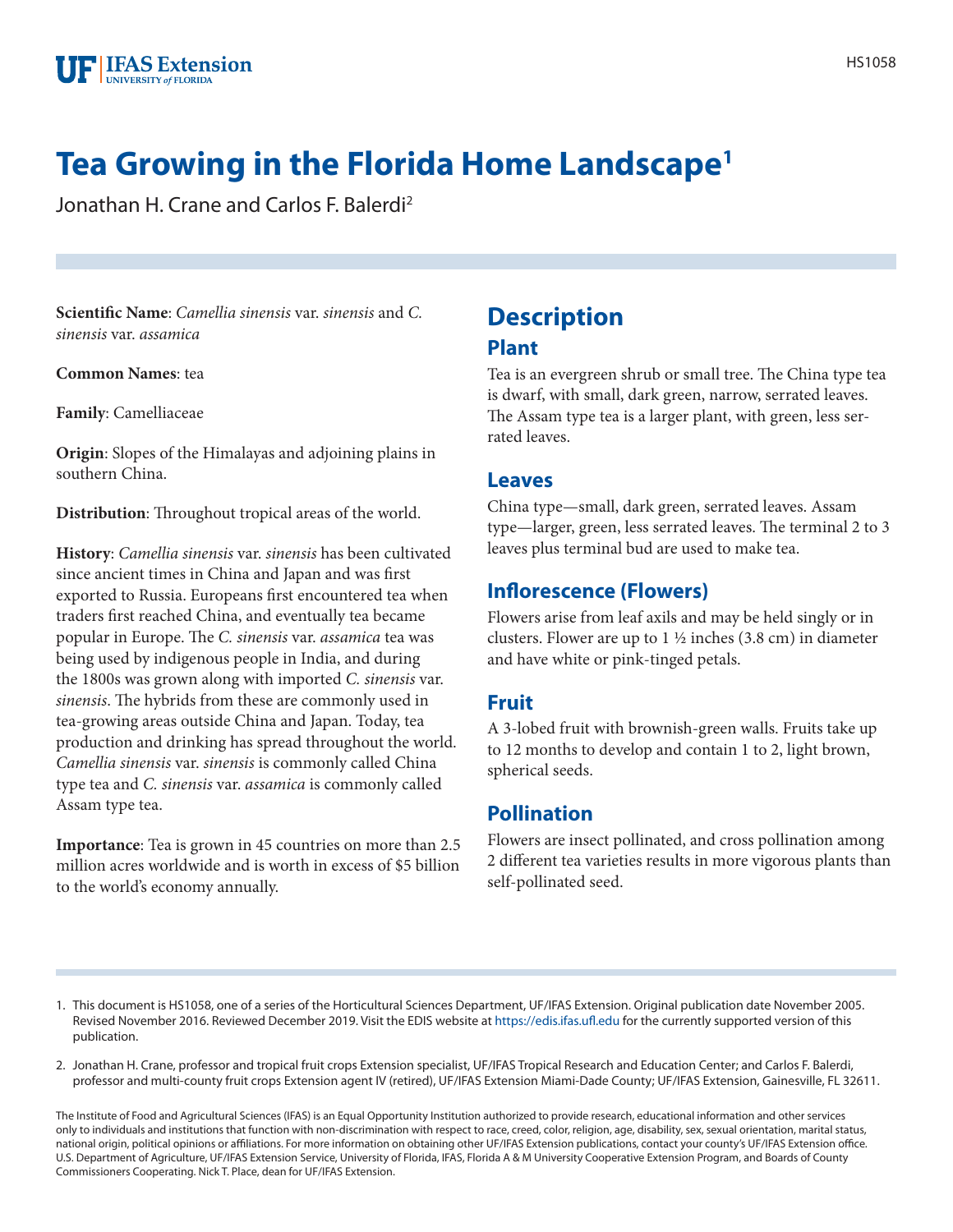# **Tea Growing in the Florida Home Landscape1**

Jonathan H. Crane and Carlos F. Balerdi2

**Scientific Name**: *Camellia sinensis* var. *sinensis* and *C. sinensis* var. *assamica*

**Common Names**: tea

**Family**: Camelliaceae

**Origin**: Slopes of the Himalayas and adjoining plains in southern China.

**Distribution**: Throughout tropical areas of the world.

**History**: *Camellia sinensis* var. *sinensis* has been cultivated since ancient times in China and Japan and was first exported to Russia. Europeans first encountered tea when traders first reached China, and eventually tea became popular in Europe. The *C. sinensis* var. *assamica* tea was being used by indigenous people in India, and during the 1800s was grown along with imported *C. sinensis* var. *sinensis*. The hybrids from these are commonly used in tea-growing areas outside China and Japan. Today, tea production and drinking has spread throughout the world. *Camellia sinensis* var. *sinensis* is commonly called China type tea and *C. sinensis* var. *assamica* is commonly called Assam type tea.

**Importance**: Tea is grown in 45 countries on more than 2.5 million acres worldwide and is worth in excess of \$5 billion to the world's economy annually.

# **Description Plant**

Tea is an evergreen shrub or small tree. The China type tea is dwarf, with small, dark green, narrow, serrated leaves. The Assam type tea is a larger plant, with green, less serrated leaves.

#### **Leaves**

China type—small, dark green, serrated leaves. Assam type—larger, green, less serrated leaves. The terminal 2 to 3 leaves plus terminal bud are used to make tea.

### **Inflorescence (Flowers)**

Flowers arise from leaf axils and may be held singly or in clusters. Flower are up to  $1\frac{1}{2}$  inches (3.8 cm) in diameter and have white or pink-tinged petals.

#### **Fruit**

A 3-lobed fruit with brownish-green walls. Fruits take up to 12 months to develop and contain 1 to 2, light brown, spherical seeds.

### **Pollination**

Flowers are insect pollinated, and cross pollination among 2 different tea varieties results in more vigorous plants than self-pollinated seed.

- 1. This document is HS1058, one of a series of the Horticultural Sciences Department, UF/IFAS Extension. Original publication date November 2005. Revised November 2016. Reviewed December 2019. Visit the EDIS website at<https://edis.ifas.ufl.edu> for the currently supported version of this publication.
- 2. Jonathan H. Crane, professor and tropical fruit crops Extension specialist, UF/IFAS Tropical Research and Education Center; and Carlos F. Balerdi, professor and multi-county fruit crops Extension agent IV (retired), UF/IFAS Extension Miami-Dade County; UF/IFAS Extension, Gainesville, FL 32611.

The Institute of Food and Agricultural Sciences (IFAS) is an Equal Opportunity Institution authorized to provide research, educational information and other services only to individuals and institutions that function with non-discrimination with respect to race, creed, color, religion, age, disability, sex, sexual orientation, marital status, national origin, political opinions or affiliations. For more information on obtaining other UF/IFAS Extension publications, contact your county's UF/IFAS Extension office. U.S. Department of Agriculture, UF/IFAS Extension Service, University of Florida, IFAS, Florida A & M University Cooperative Extension Program, and Boards of County Commissioners Cooperating. Nick T. Place, dean for UF/IFAS Extension.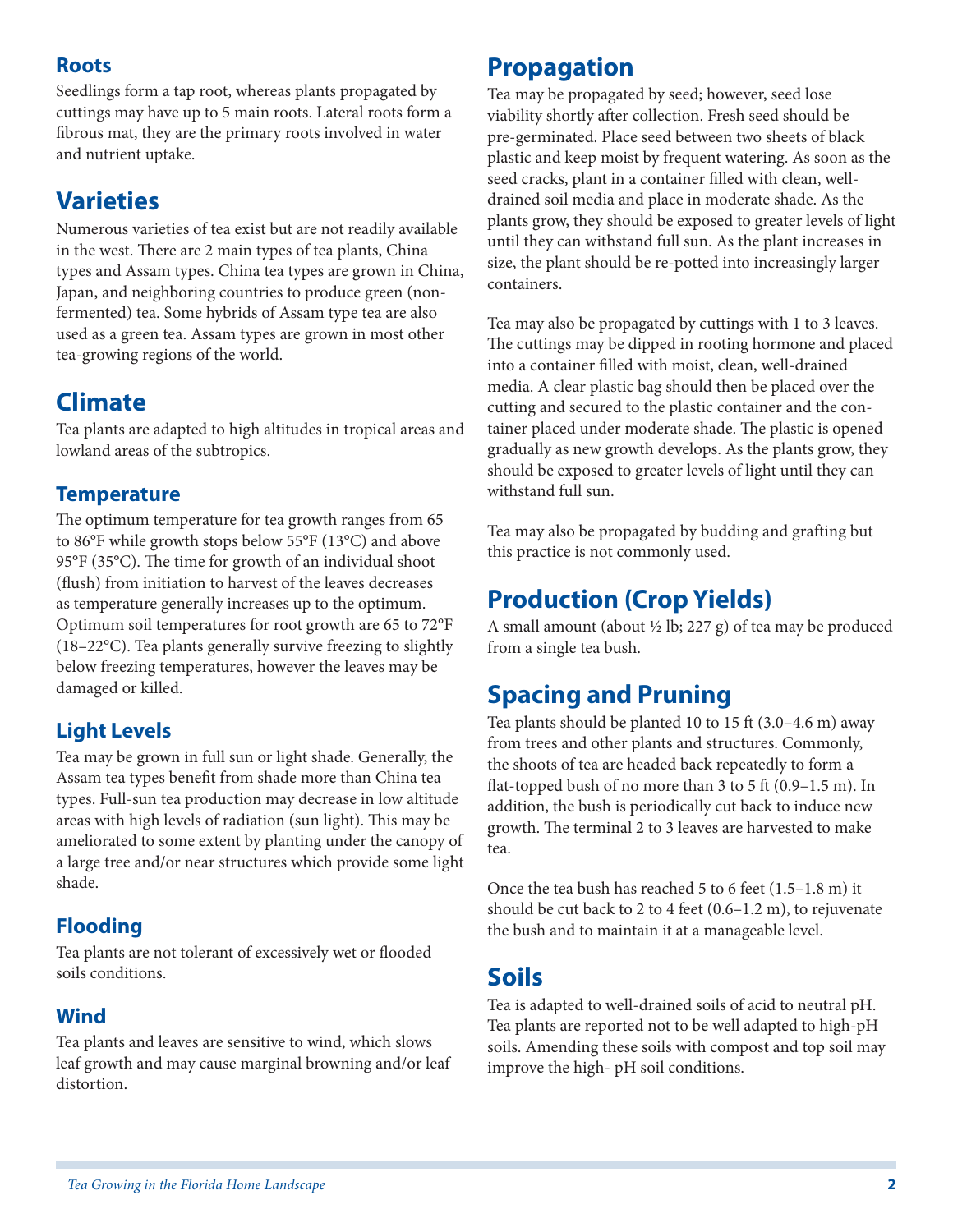### **Roots**

Seedlings form a tap root, whereas plants propagated by cuttings may have up to 5 main roots. Lateral roots form a fibrous mat, they are the primary roots involved in water and nutrient uptake.

# **Varieties**

Numerous varieties of tea exist but are not readily available in the west. There are 2 main types of tea plants, China types and Assam types. China tea types are grown in China, Japan, and neighboring countries to produce green (nonfermented) tea. Some hybrids of Assam type tea are also used as a green tea. Assam types are grown in most other tea-growing regions of the world.

# **Climate**

Tea plants are adapted to high altitudes in tropical areas and lowland areas of the subtropics.

### **Temperature**

The optimum temperature for tea growth ranges from 65 to 86°F while growth stops below 55°F (13°C) and above 95°F (35°C). The time for growth of an individual shoot (flush) from initiation to harvest of the leaves decreases as temperature generally increases up to the optimum. Optimum soil temperatures for root growth are 65 to 72°F (18–22°C). Tea plants generally survive freezing to slightly below freezing temperatures, however the leaves may be damaged or killed.

### **Light Levels**

Tea may be grown in full sun or light shade. Generally, the Assam tea types benefit from shade more than China tea types. Full-sun tea production may decrease in low altitude areas with high levels of radiation (sun light). This may be ameliorated to some extent by planting under the canopy of a large tree and/or near structures which provide some light shade.

### **Flooding**

Tea plants are not tolerant of excessively wet or flooded soils conditions.

### **Wind**

Tea plants and leaves are sensitive to wind, which slows leaf growth and may cause marginal browning and/or leaf distortion.

# **Propagation**

Tea may be propagated by seed; however, seed lose viability shortly after collection. Fresh seed should be pre-germinated. Place seed between two sheets of black plastic and keep moist by frequent watering. As soon as the seed cracks, plant in a container filled with clean, welldrained soil media and place in moderate shade. As the plants grow, they should be exposed to greater levels of light until they can withstand full sun. As the plant increases in size, the plant should be re-potted into increasingly larger containers.

Tea may also be propagated by cuttings with 1 to 3 leaves. The cuttings may be dipped in rooting hormone and placed into a container filled with moist, clean, well-drained media. A clear plastic bag should then be placed over the cutting and secured to the plastic container and the container placed under moderate shade. The plastic is opened gradually as new growth develops. As the plants grow, they should be exposed to greater levels of light until they can withstand full sun.

Tea may also be propagated by budding and grafting but this practice is not commonly used.

# **Production (Crop Yields)**

A small amount (about  $\frac{1}{2}$  lb; 227 g) of tea may be produced from a single tea bush.

# **Spacing and Pruning**

Tea plants should be planted 10 to 15 ft (3.0–4.6 m) away from trees and other plants and structures. Commonly, the shoots of tea are headed back repeatedly to form a flat-topped bush of no more than 3 to 5 ft (0.9–1.5 m). In addition, the bush is periodically cut back to induce new growth. The terminal 2 to 3 leaves are harvested to make tea.

Once the tea bush has reached 5 to 6 feet (1.5–1.8 m) it should be cut back to 2 to 4 feet (0.6–1.2 m), to rejuvenate the bush and to maintain it at a manageable level.

# **Soils**

Tea is adapted to well-drained soils of acid to neutral pH. Tea plants are reported not to be well adapted to high-pH soils. Amending these soils with compost and top soil may improve the high- pH soil conditions.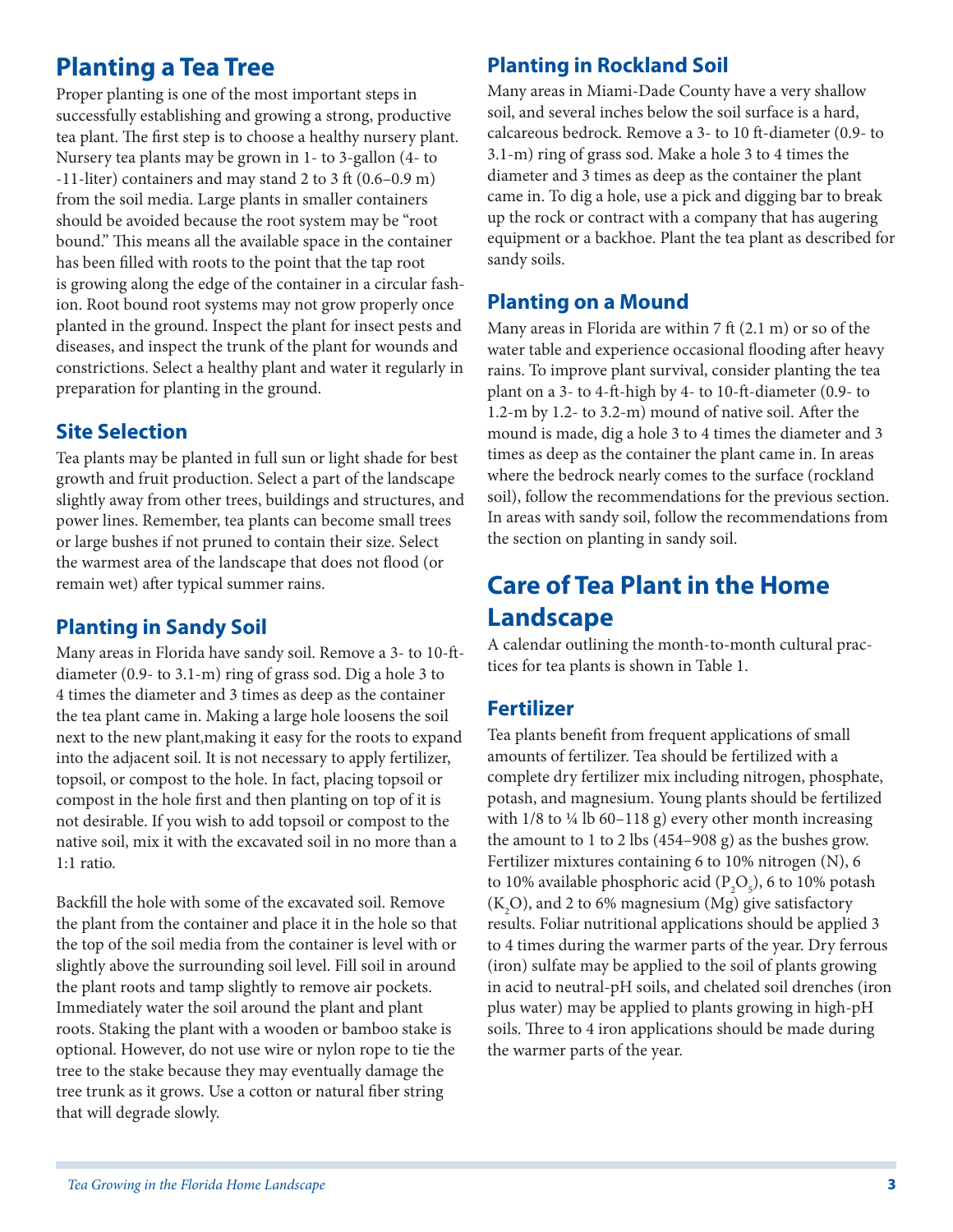# **Planting a Tea Tree**

Proper planting is one of the most important steps in successfully establishing and growing a strong, productive tea plant. The first step is to choose a healthy nursery plant. Nursery tea plants may be grown in 1- to 3-gallon (4- to -11-liter) containers and may stand 2 to 3 ft (0.6–0.9 m) from the soil media. Large plants in smaller containers should be avoided because the root system may be "root bound." This means all the available space in the container has been filled with roots to the point that the tap root is growing along the edge of the container in a circular fashion. Root bound root systems may not grow properly once planted in the ground. Inspect the plant for insect pests and diseases, and inspect the trunk of the plant for wounds and constrictions. Select a healthy plant and water it regularly in preparation for planting in the ground.

### **Site Selection**

Tea plants may be planted in full sun or light shade for best growth and fruit production. Select a part of the landscape slightly away from other trees, buildings and structures, and power lines. Remember, tea plants can become small trees or large bushes if not pruned to contain their size. Select the warmest area of the landscape that does not flood (or remain wet) after typical summer rains.

# **Planting in Sandy Soil**

Many areas in Florida have sandy soil. Remove a 3- to 10-ftdiameter (0.9- to 3.1-m) ring of grass sod. Dig a hole 3 to 4 times the diameter and 3 times as deep as the container the tea plant came in. Making a large hole loosens the soil next to the new plant,making it easy for the roots to expand into the adjacent soil. It is not necessary to apply fertilizer, topsoil, or compost to the hole. In fact, placing topsoil or compost in the hole first and then planting on top of it is not desirable. If you wish to add topsoil or compost to the native soil, mix it with the excavated soil in no more than a 1:1 ratio.

Backfill the hole with some of the excavated soil. Remove the plant from the container and place it in the hole so that the top of the soil media from the container is level with or slightly above the surrounding soil level. Fill soil in around the plant roots and tamp slightly to remove air pockets. Immediately water the soil around the plant and plant roots. Staking the plant with a wooden or bamboo stake is optional. However, do not use wire or nylon rope to tie the tree to the stake because they may eventually damage the tree trunk as it grows. Use a cotton or natural fiber string that will degrade slowly.

## **Planting in Rockland Soil**

Many areas in Miami-Dade County have a very shallow soil, and several inches below the soil surface is a hard, calcareous bedrock. Remove a 3- to 10 ft-diameter (0.9- to 3.1-m) ring of grass sod. Make a hole 3 to 4 times the diameter and 3 times as deep as the container the plant came in. To dig a hole, use a pick and digging bar to break up the rock or contract with a company that has augering equipment or a backhoe. Plant the tea plant as described for sandy soils.

### **Planting on a Mound**

Many areas in Florida are within 7 ft (2.1 m) or so of the water table and experience occasional flooding after heavy rains. To improve plant survival, consider planting the tea plant on a 3- to 4-ft-high by 4- to 10-ft-diameter (0.9- to 1.2-m by 1.2- to 3.2-m) mound of native soil. After the mound is made, dig a hole 3 to 4 times the diameter and 3 times as deep as the container the plant came in. In areas where the bedrock nearly comes to the surface (rockland soil), follow the recommendations for the previous section. In areas with sandy soil, follow the recommendations from the section on planting in sandy soil.

# **Care of Tea Plant in the Home Landscape**

A calendar outlining the month-to-month cultural practices for tea plants is shown in Table 1.

# **Fertilizer**

Tea plants benefit from frequent applications of small amounts of fertilizer. Tea should be fertilized with a complete dry fertilizer mix including nitrogen, phosphate, potash, and magnesium. Young plants should be fertilized with  $1/8$  to  $\frac{1}{4}$  lb 60–118 g) every other month increasing the amount to 1 to 2 lbs (454–908 g) as the bushes grow. Fertilizer mixtures containing 6 to 10% nitrogen (N), 6 to 10% available phosphoric acid ( $P_2O_5$ ), 6 to 10% potash  $(K_2O)$ , and 2 to 6% magnesium (Mg) give satisfactory results. Foliar nutritional applications should be applied 3 to 4 times during the warmer parts of the year. Dry ferrous (iron) sulfate may be applied to the soil of plants growing in acid to neutral-pH soils, and chelated soil drenches (iron plus water) may be applied to plants growing in high-pH soils. Three to 4 iron applications should be made during the warmer parts of the year.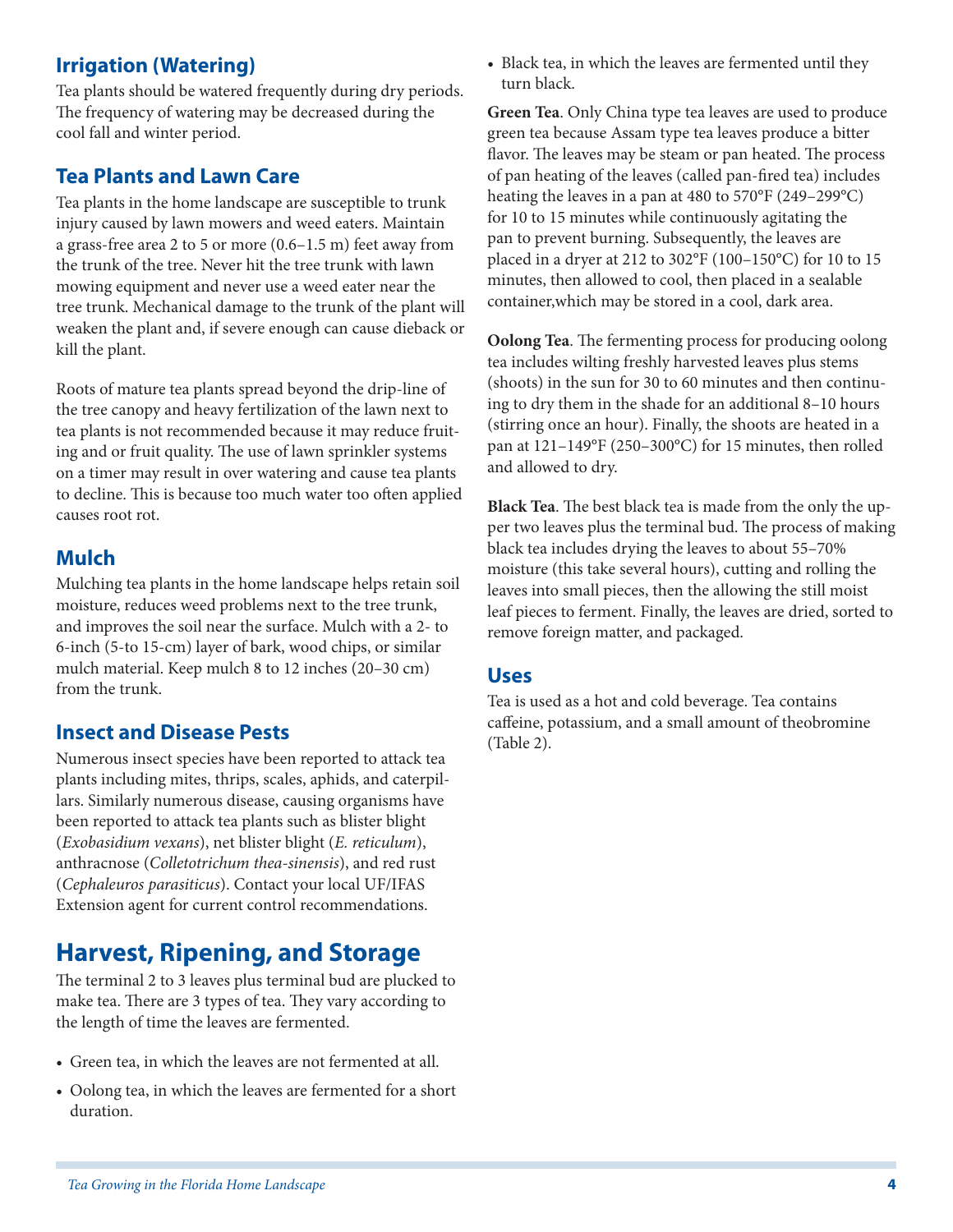### **Irrigation (Watering)**

Tea plants should be watered frequently during dry periods. The frequency of watering may be decreased during the cool fall and winter period.

#### **Tea Plants and Lawn Care**

Tea plants in the home landscape are susceptible to trunk injury caused by lawn mowers and weed eaters. Maintain a grass-free area 2 to 5 or more (0.6–1.5 m) feet away from the trunk of the tree. Never hit the tree trunk with lawn mowing equipment and never use a weed eater near the tree trunk. Mechanical damage to the trunk of the plant will weaken the plant and, if severe enough can cause dieback or kill the plant.

Roots of mature tea plants spread beyond the drip-line of the tree canopy and heavy fertilization of the lawn next to tea plants is not recommended because it may reduce fruiting and or fruit quality. The use of lawn sprinkler systems on a timer may result in over watering and cause tea plants to decline. This is because too much water too often applied causes root rot.

#### **Mulch**

Mulching tea plants in the home landscape helps retain soil moisture, reduces weed problems next to the tree trunk, and improves the soil near the surface. Mulch with a 2- to 6-inch (5-to 15-cm) layer of bark, wood chips, or similar mulch material. Keep mulch 8 to 12 inches (20–30 cm) from the trunk.

#### **Insect and Disease Pests**

Numerous insect species have been reported to attack tea plants including mites, thrips, scales, aphids, and caterpillars. Similarly numerous disease, causing organisms have been reported to attack tea plants such as blister blight (*Exobasidium vexans*), net blister blight (*E. reticulum*), anthracnose (*Colletotrichum thea-sinensis*), and red rust (*Cephaleuros parasiticus*). Contact your local UF/IFAS Extension agent for current control recommendations.

# **Harvest, Ripening, and Storage**

The terminal 2 to 3 leaves plus terminal bud are plucked to make tea. There are 3 types of tea. They vary according to the length of time the leaves are fermented.

- Green tea, in which the leaves are not fermented at all.
- Oolong tea, in which the leaves are fermented for a short duration.

• Black tea, in which the leaves are fermented until they turn black.

**Green Tea**. Only China type tea leaves are used to produce green tea because Assam type tea leaves produce a bitter flavor. The leaves may be steam or pan heated. The process of pan heating of the leaves (called pan-fired tea) includes heating the leaves in a pan at 480 to 570°F (249–299°C) for 10 to 15 minutes while continuously agitating the pan to prevent burning. Subsequently, the leaves are placed in a dryer at 212 to 302°F (100–150°C) for 10 to 15 minutes, then allowed to cool, then placed in a sealable container,which may be stored in a cool, dark area.

**Oolong Tea**. The fermenting process for producing oolong tea includes wilting freshly harvested leaves plus stems (shoots) in the sun for 30 to 60 minutes and then continuing to dry them in the shade for an additional 8–10 hours (stirring once an hour). Finally, the shoots are heated in a pan at 121–149°F (250–300°C) for 15 minutes, then rolled and allowed to dry.

**Black Tea**. The best black tea is made from the only the upper two leaves plus the terminal bud. The process of making black tea includes drying the leaves to about 55–70% moisture (this take several hours), cutting and rolling the leaves into small pieces, then the allowing the still moist leaf pieces to ferment. Finally, the leaves are dried, sorted to remove foreign matter, and packaged.

#### **Uses**

Tea is used as a hot and cold beverage. Tea contains caffeine, potassium, and a small amount of theobromine (Table 2).